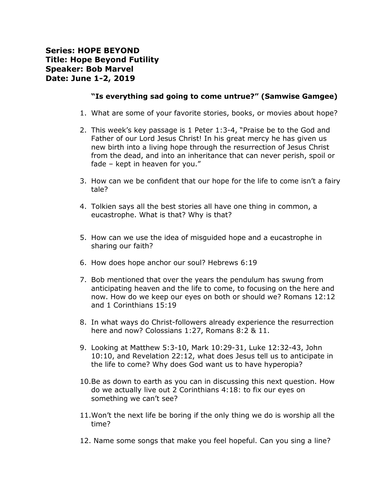## **Series: HOPE BEYOND Title: Hope Beyond Futility Speaker: Bob Marvel Date: June 1-2, 2019**

## **"Is everything sad going to come untrue?" (Samwise Gamgee)**

- 1. What are some of your favorite stories, books, or movies about hope?
- 2. This week's key passage is 1 Peter 1:3-4, "Praise be to the God and Father of our Lord Jesus Christ! In his great mercy he has given us new birth into a living hope through the resurrection of Jesus Christ from the dead, and into an inheritance that can never perish, spoil or fade – kept in heaven for you."
- 3. How can we be confident that our hope for the life to come isn't a fairy tale?
- 4. Tolkien says all the best stories all have one thing in common, a eucastrophe. What is that? Why is that?
- 5. How can we use the idea of misguided hope and a eucastrophe in sharing our faith?
- 6. How does hope anchor our soul? Hebrews 6:19
- 7. Bob mentioned that over the years the pendulum has swung from anticipating heaven and the life to come, to focusing on the here and now. How do we keep our eyes on both or should we? Romans 12:12 and 1 Corinthians 15:19
- 8. In what ways do Christ-followers already experience the resurrection here and now? Colossians 1:27, Romans 8:2 & 11.
- 9. Looking at Matthew 5:3-10, Mark 10:29-31, Luke 12:32-43, John 10:10, and Revelation 22:12, what does Jesus tell us to anticipate in the life to come? Why does God want us to have hyperopia?
- 10.Be as down to earth as you can in discussing this next question. How do we actually live out 2 Corinthians 4:18: to fix our eyes on something we can't see?
- 11.Won't the next life be boring if the only thing we do is worship all the time?
- 12. Name some songs that make you feel hopeful. Can you sing a line?